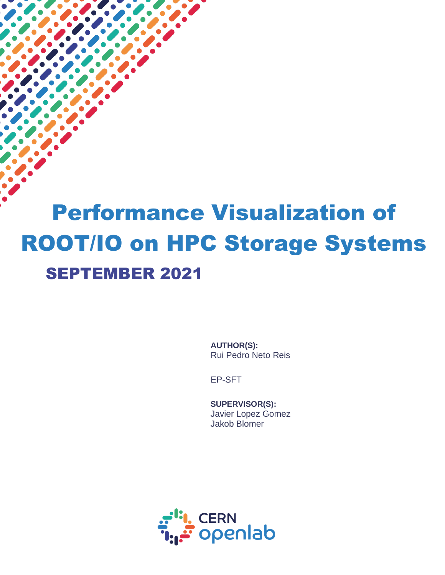# Performance Visualization of ROOT/IO on HPC Storage Systems SEPTEMBER 2021

 $\overline{a}$ 

**AUTHOR(S):** Rui Pedro Neto Reis

EP-SFT

**SUPERVISOR(S):** Javier Lopez Gomez Jakob Blomer

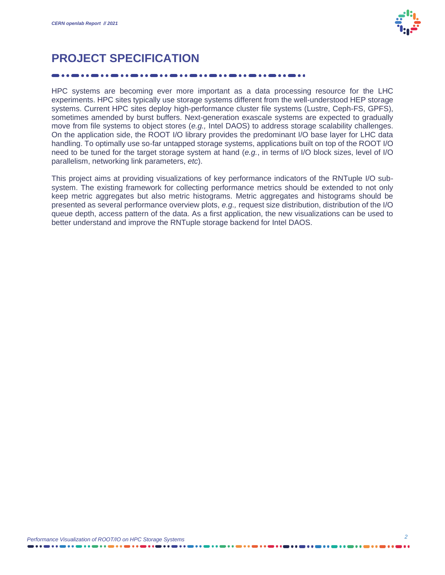

## **PROJECT SPECIFICATION**

HPC systems are becoming ever more important as a data processing resource for the LHC experiments. HPC sites typically use storage systems different from the well-understood HEP storage systems. Current HPC sites deploy high-performance cluster file systems (Lustre, Ceph-FS, GPFS), sometimes amended by burst buffers. Next-generation exascale systems are expected to gradually move from file systems to object stores (*e.g.,* Intel DAOS) to address storage scalability challenges. On the application side, the ROOT I/O library provides the predominant I/O base layer for LHC data handling. To optimally use so-far untapped storage systems, applications built on top of the ROOT I/O need to be tuned for the target storage system at hand (*e.g.*, in terms of I/O block sizes, level of I/O parallelism, networking link parameters, *etc*).

This project aims at providing visualizations of key performance indicators of the RNTuple I/O subsystem. The existing framework for collecting performance metrics should be extended to not only keep metric aggregates but also metric histograms. Metric aggregates and histograms should be presented as several performance overview plots, *e.g.,* request size distribution, distribution of the I/O queue depth, access pattern of the data. As a first application, the new visualizations can be used to better understand and improve the RNTuple storage backend for Intel DAOS.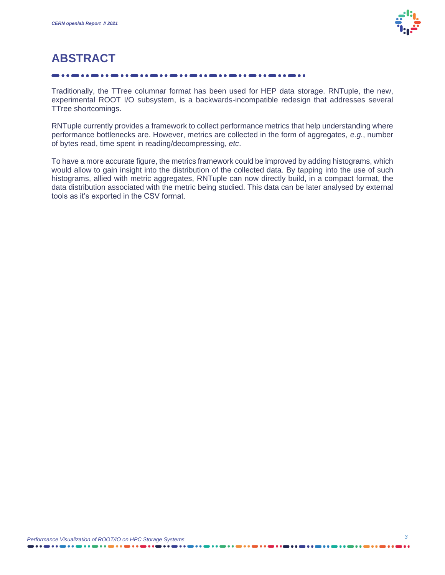

# **ABSTRACT**

Traditionally, the TTree columnar format has been used for HEP data storage. RNTuple, the new, experimental ROOT I/O subsystem, is a backwards-incompatible redesign that addresses several TTree shortcomings.

RNTuple currently provides a framework to collect performance metrics that help understanding where performance bottlenecks are. However, metrics are collected in the form of aggregates, *e.g.*, number of bytes read, time spent in reading/decompressing, *etc*.

To have a more accurate figure, the metrics framework could be improved by adding histograms, which would allow to gain insight into the distribution of the collected data. By tapping into the use of such histograms, allied with metric aggregates, RNTuple can now directly build, in a compact format, the data distribution associated with the metric being studied. This data can be later analysed by external tools as it's exported in the CSV format.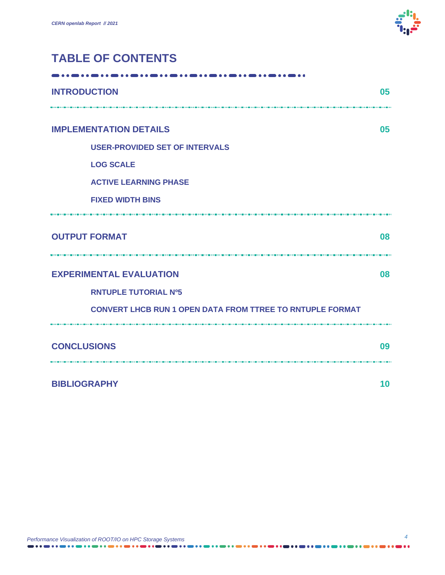

## **TABLE OF CONTENTS**

| <b>INTRODUCTION</b>                                              | 05 |
|------------------------------------------------------------------|----|
| <b>IMPLEMENTATION DETAILS</b>                                    | 05 |
| <b>USER-PROVIDED SET OF INTERVALS</b>                            |    |
| <b>LOG SCALE</b>                                                 |    |
| <b>ACTIVE LEARNING PHASE</b>                                     |    |
| <b>FIXED WIDTH BINS</b>                                          |    |
| <b>OUTPUT FORMAT</b><br>                                         | 80 |
| <b>EXPERIMENTAL EVALUATION</b>                                   | 80 |
| <b>RNTUPLE TUTORIAL Nº5</b>                                      |    |
| <b>CONVERT LHCB RUN 1 OPEN DATA FROM TTREE TO RNTUPLE FORMAT</b> |    |
| <b>CONCLUSIONS</b>                                               | 09 |
| <b>BIBLIOGRAPHY</b>                                              | 10 |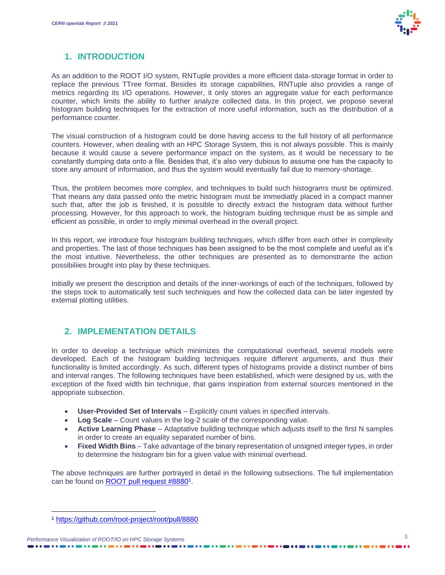

## **1. INTRODUCTION**

As an addition to the ROOT I/O system, RNTuple provides a more efficient data-storage format in order to replace the previous TTree format. Besides its storage capabilities, RNTuple also provides a range of metrics regarding its I/O operations. However, it only stores an aggregate value for each performance counter, which limits the ability to further analyze collected data. In this project, we propose several histogram building techniques for the extraction of more useful information, such as the distribution of a performance counter.

The visual construction of a histogram could be done having access to the full history of all performance counters. However, when dealing with an HPC Storage System, this is not always possible. This is mainly because it would cause a severe performance impact on the system, as it would be necessary to be constantly dumping data onto a file. Besides that, it's also very dubious to assume one has the capacity to store any amount of information, and thus the system would eventually fail due to memory-shortage.

Thus, the problem becomes more complex, and techniques to build such histograms must be optimized. That means any data passed onto the metric histogram must be immediatly placed in a compact manner such that, after the job is finished, it is possible to directly extract the histogram data without further processing. However, for this approach to work, the histogram buiding technique must be as simple and efficient as possible, in order to imply minimal overhead in the overall project.

In this report, we introduce four histogram building techniques, which differ from each other in complexity and properties. The last of those techniques has been assigned to be the most complete and useful as it's the most intuitive. Nevertheless, the other techniques are presented as to demonstrante the action possibiliies brought into play by these techniques.

Initially we present the description and details of the inner-workings of each of the techniques, followed by the steps took to automatically test such techniques and how the collected data can be later ingested by external plotting utilities.

### **2. IMPLEMENTATION DETAILS**

In order to develop a technique which minimizes the computational overhead, several models were developed. Each of the histogram building techniques require different arguments, and thus their functionality is limited accordingly. As such, different types of histograms provide a distinct number of bins and interval ranges. The following techniques have been established, which were designed by us, with the exception of the fixed width bin technique, that gains inspiration from external sources mentioned in the appopriate subsection.

- **User-Provided Set of Intervals** Explicitly count values in specified intervals.
- Log Scale Count values in the log-2 scale of the corresponding value.
- **Active Learning Phase**  Adaptative building technique which adjusts itself to the first N samples in order to create an equality separated number of bins.
- **Fixed Width Bins**  Take advantage of the binary representation of unsigned integer types, in order to determine the histogram bin for a given value with minimal overhead.

The above techniques are further portrayed in detail in the following subsections. The full implementation can be found on **[ROOT pull request #8880](https://github.com/root-project/root/pull/8880)**<sup>1</sup>.

<sup>1</sup> <https://github.com/root-project/root/pull/8880>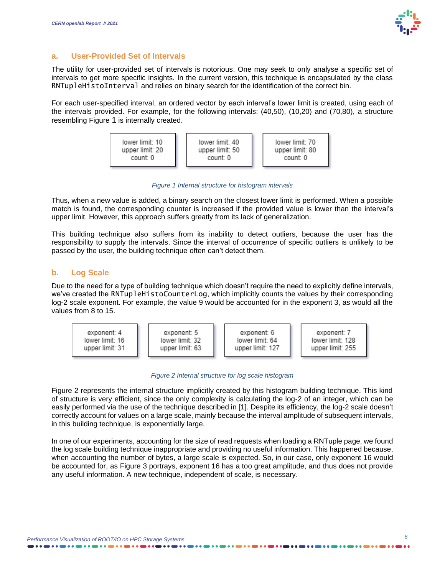#### **a. User-Provided Set of Intervals**

The utility for user-provided set of intervals is notorious. One may seek to only analyse a specific set of intervals to get more specific insights. In the current version, this technique is encapsulated by the class RNTupleHistoInterval and relies on binary search for the identification of the correct bin.

For each user-specified interval, an ordered vector by each interval's lower limit is created, using each of the intervals provided. For example, for the following intervals: (40,50), (10,20) and (70,80), a structure resembling [Figure](#page-5-0) [1](#page-5-0) is internally created.



*Figure 1 Internal structure for histogram intervals*

<span id="page-5-0"></span>Thus, when a new value is added, a binary search on the closest lower limit is performed. When a possible match is found, the corresponding counter is increased if the provided value is lower than the interval's upper limit. However, this approach suffers greatly from its lack of generalization.

This building technique also suffers from its inability to detect outliers, because the user has the responsibility to supply the intervals. Since the interval of occurrence of specific outliers is unlikely to be passed by the user, the building technique often can't detect them.

#### **b. Log Scale**

Due to the need for a type of building technique which doesn't require the need to explicitly define intervals, we've created the RNTupleHistoCounterLog, which implicitly counts the values by their corresponding log-2 scale exponent. For example, the value 9 would be accounted for in the exponent 3, as would all the values from 8 to 15.



#### *Figure 2 Internal structure for log scale histogram*

<span id="page-5-1"></span>[Figure 2](#page-5-1) represents the internal structure implicitly created by this histogram building technique. This kind of structure is very efficient, since the only complexity is calculating the log-2 of an integer, which can be easily performed via the use of the technique described in [1]. Despite its efficiency, the log-2 scale doesn't correctly account for values on a large scale, mainly because the interval amplitude of subsequent intervals, in this building technique, is exponentially large.

In one of our experiments, accounting for the size of read requests when loading a RNTuple page, we found the log scale building technique inappropriate and providing no useful information. This happened because, when accounting the number of bytes, a large scale is expected. So, in our case, only exponent 16 would be accounted for, as [Figure 3](#page-6-0) portrays, exponent 16 has a too great amplitude, and thus does not provide any useful information. A new technique, independent of scale, is necessary.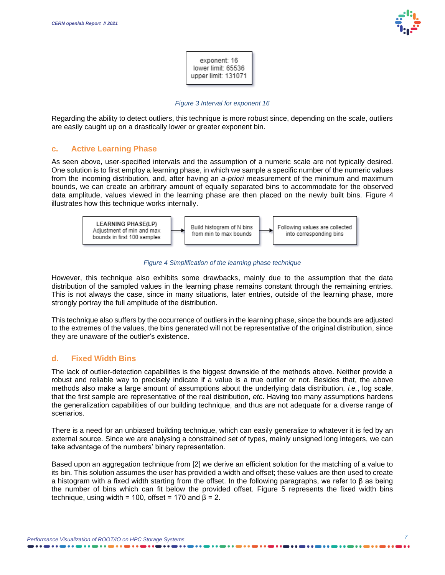

exponent: 16 lower limit: 65536 upper limit: 131071

#### *Figure 3 Interval for exponent 16*

<span id="page-6-0"></span>Regarding the ability to detect outliers, this technique is more robust since, depending on the scale, outliers are easily caught up on a drastically lower or greater exponent bin.

#### **c. Active Learning Phase**

As seen above, user-specified intervals and the assumption of a numeric scale are not typically desired. One solution is to first employ a learning phase, in which we sample a specific number of the numeric values from the incoming distribution, and, after having an *a-priori* measurement of the minimum and maximum bounds, we can create an arbitrary amount of equally separated bins to accommodate for the observed data amplitude, values viewed in the learning phase are then placed on the newly built bins. [Figure 4](#page-6-1) illustrates how this technique works internally.



#### *Figure 4 Simplification of the learning phase technique*

<span id="page-6-1"></span>However, this technique also exhibits some drawbacks, mainly due to the assumption that the data distribution of the sampled values in the learning phase remains constant through the remaining entries. This is not always the case, since in many situations, later entries, outside of the learning phase, more strongly portray the full amplitude of the distribution.

This technique also suffers by the occurrence of outliers in the learning phase, since the bounds are adjusted to the extremes of the values, the bins generated will not be representative of the original distribution, since they are unaware of the outlier's existence.

#### **d. Fixed Width Bins**

The lack of outlier-detection capabilities is the biggest downside of the methods above. Neither provide a robust and reliable way to precisely indicate if a value is a true outlier or not. Besides that, the above methods also make a large amount of assumptions about the underlying data distribution, *i.e.*, log scale, that the first sample are representative of the real distribution, *etc*. Having too many assumptions hardens the generalization capabilities of our building technique, and thus are not adequate for a diverse range of scenarios.

There is a need for an unbiased building technique, which can easily generalize to whatever it is fed by an external source. Since we are analysing a constrained set of types, mainly unsigned long integers, we can take advantage of the numbers' binary representation.

Based upon an aggregation technique from [2] we derive an efficient solution for the matching of a value to its bin. This solution assumes the user has provided a width and offset; these values are then used to create a histogram with a fixed width starting from the offset. In the following paragraphs, we refer to β as being the number of bins which can fit below the provided offset. [Figure 5](#page-7-0) represents the fixed width bins technique, using width = 100, offset = 170 and  $\beta$  = 2.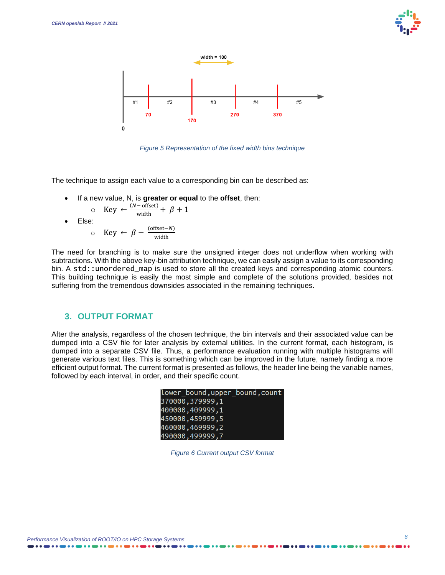



*Figure 5 Representation of the fixed width bins technique*

<span id="page-7-0"></span>The technique to assign each value to a corresponding bin can be described as:

• If a new value, N, is **greater or equal** to the **offset**, then:

$$
\circ \quad \text{Key} \leftarrow \frac{(N-\text{offset})}{\text{width}} + \beta + 1
$$

$$
\bullet \quad \text{Else:}
$$

$$
\circ \quad \text{Key} \leftarrow \beta - \frac{\text{(offset-N)}}{\text{width}}
$$

The need for branching is to make sure the unsigned integer does not underflow when working with subtractions. With the above key-bin attribution technique, we can easily assign a value to its corresponding bin. A std::unordered\_map is used to store all the created keys and corresponding atomic counters. This building technique is easily the most simple and complete of the solutions provided, besides not suffering from the tremendous downsides associated in the remaining techniques.

#### **3. OUTPUT FORMAT**

After the analysis, regardless of the chosen technique, the bin intervals and their associated value can be dumped into a CSV file for later analysis by external utilities. In the current format, each histogram, is dumped into a separate CSV file. Thus, a performance evaluation running with multiple histograms will generate various text files. This is something which can be improved in the future, namely finding a more efficient output format. The current format is presented as follows, the header line being the variable names, followed by each interval, in order, and their specific count.

| lower_bound,upper_bound,count |
|-------------------------------|
| 370000.379999.1               |
| 400000,409999,1               |
| 450000.459999.5               |
| 460000.469999.2               |
| 490000,499999,7               |

*Figure 6 Current output CSV format*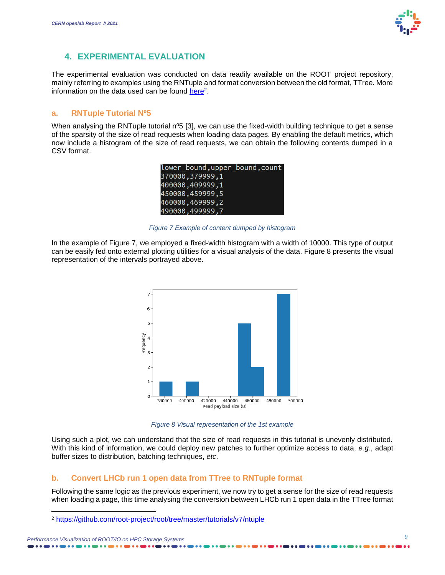#### **4. EXPERIMENTAL EVALUATION**

The experimental evaluation was conducted on data readily available on the ROOT project repository, mainly referring to examples using the RNTuple and format conversion between the old format, TTree. More information on the data used can be found [here](https://github.com/root-project/root/tree/master/tutorials/v7/ntuple)<sup>2</sup>.

#### **a. RNTuple Tutorial Nº5**

When analysing the RNTuple tutorial n<sup>o</sup>5 [3], we can use the fixed-width building technique to get a sense of the sparsity of the size of read requests when loading data pages. By enabling the default metrics, which now include a histogram of the size of read requests, we can obtain the following contents dumped in a CSV format.

| lower_bound,upper_bound,count |
|-------------------------------|
| 370000,379999,1               |
| 400000,409999,1               |
| 450000,459999,5               |
| 460000, 469999, 2             |
| 490000.499999.7               |

*Figure 7 Example of content dumped by histogram*

<span id="page-8-0"></span>In the example of [Figure 7,](#page-8-0) we employed a fixed-width histogram with a width of 10000. This type of output can be easily fed onto external plotting utilities for a visual analysis of the data. [Figure 8](#page-8-1) presents the visual representation of the intervals portrayed above.



*Figure 8 Visual representation of the 1st example*

<span id="page-8-1"></span>Using such a plot, we can understand that the size of read requests in this tutorial is unevenly distributed. With this kind of information, we could deploy new patches to further optimize access to data, *e.g.*, adapt buffer sizes to distribution, batching techniques, *etc*.

#### **b. Convert LHCb run 1 open data from TTree to RNTuple format**

Following the same logic as the previous experiment, we now try to get a sense for the size of read requests when loading a page, this time analysing the conversion between LHCb run 1 open data in the TTree format

*Performance Visualization of ROOT/IO on HPC Storage Systems*

<sup>2</sup> <https://github.com/root-project/root/tree/master/tutorials/v7/ntuple>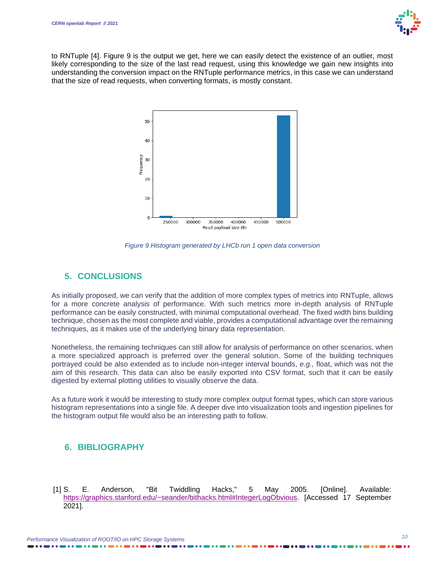

to RNTuple [4]. [Figure 9](#page-9-0) is the output we get, here we can easily detect the existence of an outlier, most likely corresponding to the size of the last read request, using this knowledge we gain new insights into understanding the conversion impact on the RNTuple performance metrics, in this case we can understand that the size of read requests, when converting formats, is mostly constant.



*Figure 9 Histogram generated by LHCb run 1 open data conversion*

#### <span id="page-9-0"></span>**5. CONCLUSIONS**

As initially proposed, we can verify that the addition of more complex types of metrics into RNTuple, allows for a more concrete analysis of performance. With such metrics more in-depth analysis of RNTuple performance can be easily constructed, with minimal computational overhead. The fixed width bins building technique, chosen as the most complete and viable, provides a computational advantage over the remaining techniques, as it makes use of the underlying binary data representation.

Nonetheless, the remaining techniques can still allow for analysis of performance on other scenarios, when a more specialized approach is preferred over the general solution. Some of the building techniques portrayed could be also extended as to include non-integer interval bounds, *e.g.,* float, which was not the aim of this research. This data can also be easily exported into CSV format, such that it can be easily digested by external plotting utilities to visually observe the data.

As a future work it would be interesting to study more complex output format types, which can store various histogram representations into a single file. A deeper dive into visualization tools and ingestion pipelines for the histogram output file would also be an interesting path to follow.

### **6. BIBLIOGRAPHY**

[1] S. E. Anderson, "Bit Twiddling Hacks," 5 May 2005. [Online]. Available: [https://graphics.stanford.edu/~seander/bithacks.html#IntegerLogObvious.](https://graphics.stanford.edu/~seander/bithacks.html#IntegerLogObvious) [Accessed 17 September 2021].